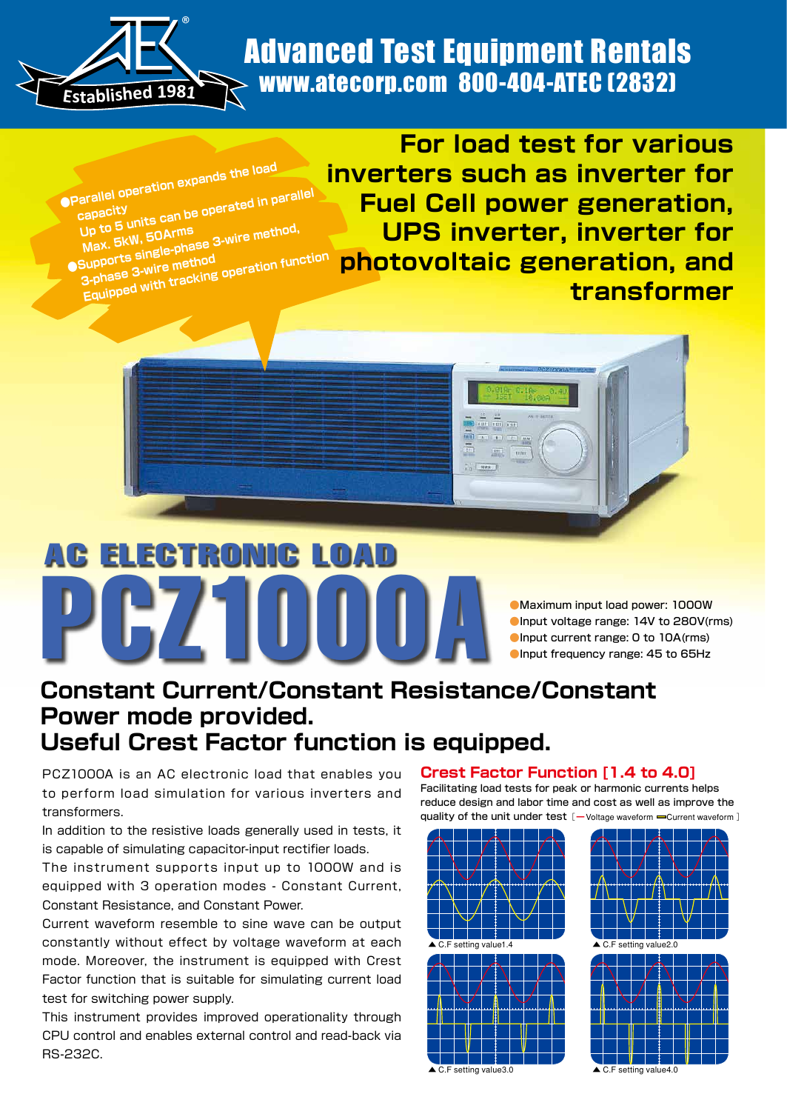

## www.atecorp.com 800-404-ATEC (2832) and www.atecorp.com Advanced Test Equipment Rentals

Turi and and

E I E

 **Parallel operation expands the load capacity** arallel operation<br><sub>Capacity</sub><br>Up to 5 <sub>the F</sub>OArms are method, Up to 5 units<br>Max. 5kW, 50Arms<br>Supports single-phase 3-wire method<br>**Carports** 3-wire method

**3-phase 3-wire method Equipped** with tracking operation function

**For load test for various inverters** such as inverter for **Fuel Cell power generation. UPS inverter, inverter for photovoltaic generation, and transformer**

# PCZ1000A: ELECTRONIC

Maximum input load power: 1000W CInput voltage range: 14V to 280V(rms) CInput current range: 0 to 10A(rms) CInput frequency range: 45 to 65Hz

## **Constant Current/Constant Resistance/Constant Power mode provided. Useful Crest Factor function is equipped.**

PCZ1000A is an AC electronic load that enables you to perform load simulation for various inverters and transformers.

In addition to the resistive loads generally used in tests, it is capable of simulating capacitor-input rectifier loads.

The instrument supports input up to 1000W and is equipped with 3 operation modes - Constant Current, Constant Resistance, and Constant Power.

Current waveform resemble to sine wave can be output constantly without effect by voltage waveform at each mode. Moreover, the instrument is equipped with Crest Factor function that is suitable for simulating current load test for switching power supply.

This instrument provides improved operationality through CPU control and enables external control and read-back via RS-232C.

#### **Crest Factor Function [1.4 to 4.0]**

Facilitating load tests for peak or harmonic currents helps reduce design and labor time and cost as well as improve the quality of the unit under test [-Voltage waveform - Current waveform ]